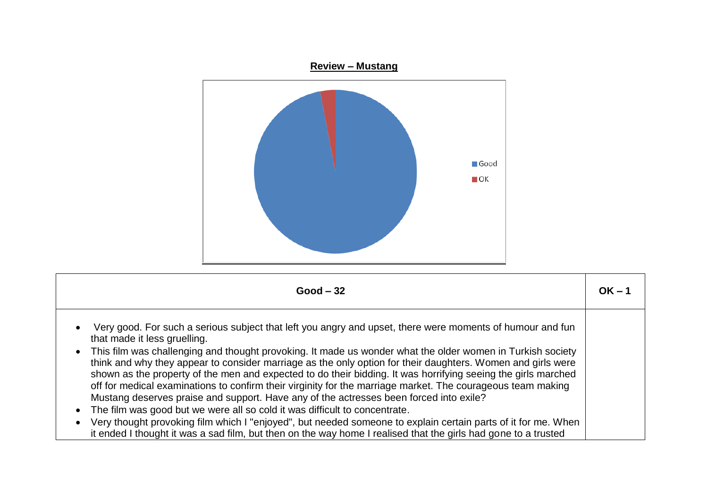

| $Good - 32$                                                                                                                                                                                                                                                                                                                                                                                                                                                                                                                                                                                                                                                                                                                                                                                                                                                                                                                                                                                                                                                | $OK - 1$ |
|------------------------------------------------------------------------------------------------------------------------------------------------------------------------------------------------------------------------------------------------------------------------------------------------------------------------------------------------------------------------------------------------------------------------------------------------------------------------------------------------------------------------------------------------------------------------------------------------------------------------------------------------------------------------------------------------------------------------------------------------------------------------------------------------------------------------------------------------------------------------------------------------------------------------------------------------------------------------------------------------------------------------------------------------------------|----------|
| Very good. For such a serious subject that left you angry and upset, there were moments of humour and fun<br>$\bullet$<br>that made it less gruelling.<br>• This film was challenging and thought provoking. It made us wonder what the older women in Turkish society<br>think and why they appear to consider marriage as the only option for their daughters. Women and girls were<br>shown as the property of the men and expected to do their bidding. It was horrifying seeing the girls marched<br>off for medical examinations to confirm their virginity for the marriage market. The courageous team making<br>Mustang deserves praise and support. Have any of the actresses been forced into exile?<br>The film was good but we were all so cold it was difficult to concentrate.<br>$\bullet$<br>Very thought provoking film which I "enjoyed", but needed someone to explain certain parts of it for me. When<br>$\bullet$<br>it ended I thought it was a sad film, but then on the way home I realised that the girls had gone to a trusted |          |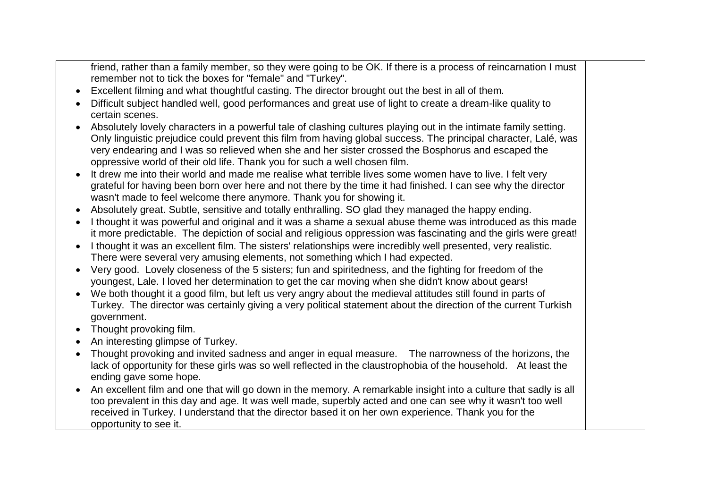friend, rather than a family member, so they were going to be OK. If there is a process of reincarnation I must remember not to tick the boxes for "female" and "Turkey".

- Excellent filming and what thoughtful casting. The director brought out the best in all of them.
- Difficult subject handled well, good performances and great use of light to create a dream-like quality to certain scenes.
- Absolutely lovely characters in a powerful tale of clashing cultures playing out in the intimate family setting. Only linguistic prejudice could prevent this film from having global success. The principal character, Lalé, was very endearing and I was so relieved when she and her sister crossed the Bosphorus and escaped the oppressive world of their old life. Thank you for such a well chosen film.
- It drew me into their world and made me realise what terrible lives some women have to live. I felt very grateful for having been born over here and not there by the time it had finished. I can see why the director wasn't made to feel welcome there anymore. Thank you for showing it.
- Absolutely great. Subtle, sensitive and totally enthralling. SO glad they managed the happy ending.
- I thought it was powerful and original and it was a shame a sexual abuse theme was introduced as this made it more predictable. The depiction of social and religious oppression was fascinating and the girls were great!
- I thought it was an excellent film. The sisters' relationships were incredibly well presented, very realistic. There were several very amusing elements, not something which I had expected.
- Very good. Lovely closeness of the 5 sisters; fun and spiritedness, and the fighting for freedom of the youngest, Lale. I loved her determination to get the car moving when she didn't know about gears!
- We both thought it a good film, but left us very angry about the medieval attitudes still found in parts of Turkey. The director was certainly giving a very political statement about the direction of the current Turkish government.
- Thought provoking film.
- An interesting glimpse of Turkey.
- Thought provoking and invited sadness and anger in equal measure. The narrowness of the horizons, the lack of opportunity for these girls was so well reflected in the claustrophobia of the household. At least the ending gave some hope.
- An excellent film and one that will go down in the memory. A remarkable insight into a culture that sadly is all too prevalent in this day and age. It was well made, superbly acted and one can see why it wasn't too well received in Turkey. I understand that the director based it on her own experience. Thank you for the opportunity to see it.